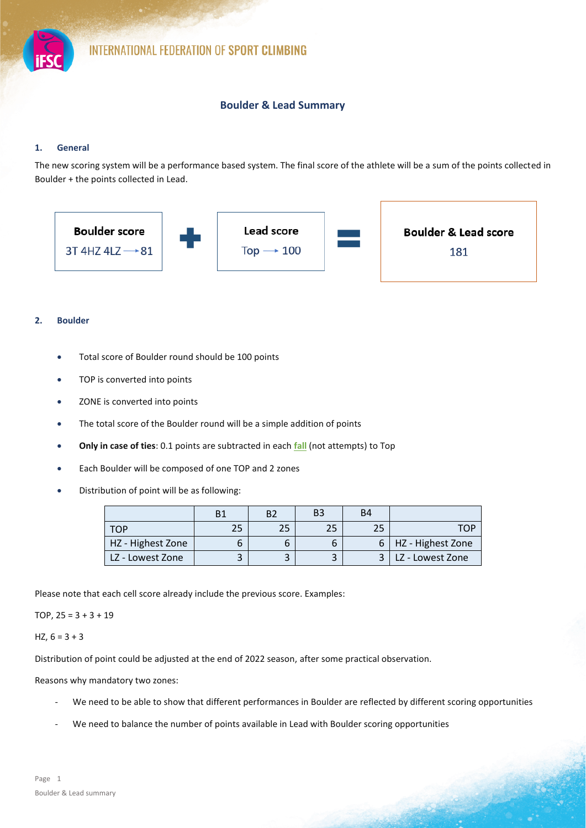

# **Boulder & Lead Summary**

# **1. General**

The new scoring system will be a performance based system. The final score of the athlete will be a sum of the points collected in Boulder + the points collected in Lead.



### **2. Boulder**

- Total score of Boulder round should be 100 points
- TOP is converted into points
- ZONE is converted into points
- The total score of the Boulder round will be a simple addition of points
- **Only in case of ties**: 0.1 points are subtracted in each **fall** (not attempts) to Top
- Each Boulder will be composed of one TOP and 2 zones
- Distribution of point will be as following:

|                   | B <sub>1</sub> | B. | B <sub>3</sub> | B4 |                       |
|-------------------|----------------|----|----------------|----|-----------------------|
| T∩P               | 25             | 25 |                | 25 | ™∩⊵                   |
| HZ - Highest Zone |                | ь  |                |    | 6   HZ - Highest Zone |
| LZ - Lowest Zone  |                |    |                |    | LLZ - Lowest Zone     |

Please note that each cell score already include the previous score. Examples:

# TOP, 25 = 3 + 3 + 19

#### HZ,  $6 = 3 + 3$

Distribution of point could be adjusted at the end of 2022 season, after some practical observation.

Reasons why mandatory two zones:

- We need to be able to show that different performances in Boulder are reflected by different scoring opportunities
- We need to balance the number of points available in Lead with Boulder scoring opportunities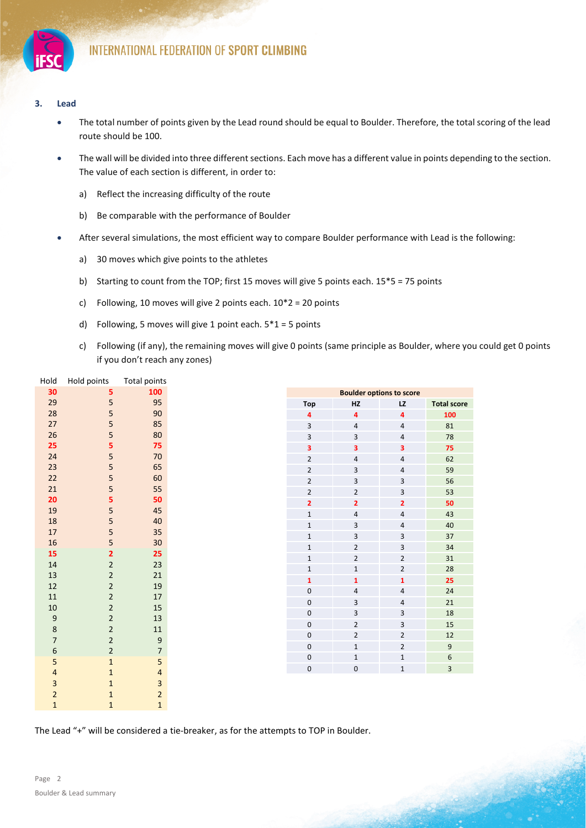

### **3. Lead**

- The total number of points given by the Lead round should be equal to Boulder. Therefore, the total scoring of the lead route should be 100.
- The wall will be divided into three different sections. Each move has a different value in points depending to the section. The value of each section is different, in order to:
	- a) Reflect the increasing difficulty of the route
	- b) Be comparable with the performance of Boulder
- After several simulations, the most efficient way to compare Boulder performance with Lead is the following:
	- a) 30 moves which give points to the athletes
	- b) Starting to count from the TOP; first 15 moves will give 5 points each. 15\*5 = 75 points
	- c) Following, 10 moves will give 2 points each. 10\*2 = 20 points
	- d) Following, 5 moves will give 1 point each.  $5*1 = 5$  points
	- c) Following (if any), the remaining moves will give 0 points (same principle as Boulder, where you could get 0 points if you don't reach any zones)

| Hold             | Hold points    | Total points             |
|------------------|----------------|--------------------------|
| 30               | 5              | 100                      |
| 29               | 5              | 95                       |
| 28               | 5              | 90                       |
| 27               | 5              | 85                       |
| 26               | 5              | 80                       |
| 25               | 5              | 75                       |
| 24               | 5              | 70                       |
| 23               | 5              | 65                       |
| 22               | 5              | 60                       |
| 21               | 5              | 55                       |
| 20               | 5              | 50                       |
| 19               | 5              | 45                       |
| 18               | 5              | 40                       |
| 17               | 5              | 35                       |
| 16               | 5              | 30                       |
| 15               | $\overline{2}$ | 25                       |
| 14               | $\overline{2}$ | 23                       |
| 13               | $\overline{2}$ | 21                       |
| 12               | $\overline{2}$ | $19\,$                   |
| 11               | $\overline{2}$ | 17                       |
| $10\,$           | $\overline{2}$ | 15                       |
| $\mathsf 9$      | $\overline{2}$ | 13                       |
| $\bf 8$          | $\overline{2}$ | 11                       |
| $\overline{7}$   | $\overline{2}$ | $\overline{9}$           |
| $\boldsymbol{6}$ | $\overline{2}$ | $\overline{\phantom{a}}$ |
| 5                | $\mathbf 1$    | 5                        |
| 4                | $\mathbf 1$    | 4                        |
| 3                | $\mathbf{1}$   | 3                        |
| $\overline{c}$   | $\mathbf 1$    | $\overline{2}$           |
| $\overline{1}$   | $\mathbf{1}$   | $\overline{1}$           |

The Lead "+" will be considered a tie-breaker, as for the attempts to TOP in Boulder.